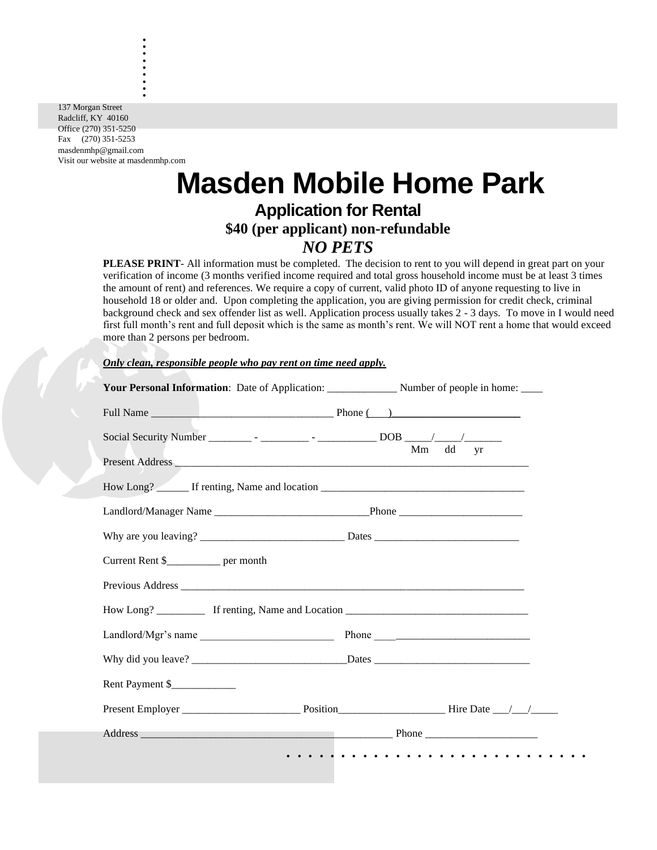137 Morgan Street Radcliff, KY 40160 Office (270) 351-5250 Fax (270) 351-5253 masdenmhp@gmail.com Visit our website at masdenmhp.com

. . . . . . . . .

# **Masden Mobile Home Park Application for Rental \$40 (per applicant) non-refundable**

# *NO PETS*

**PLEASE PRINT**- All information must be completed. The decision to rent to you will depend in great part on your verification of income (3 months verified income required and total gross household income must be at least 3 times the amount of rent) and references. We require a copy of current, valid photo ID of anyone requesting to live in household 18 or older and. Upon completing the application, you are giving permission for credit check, criminal background check and sex offender list as well. Application process usually takes 2 - 3 days. To move in I would need first full month's rent and full deposit which is the same as month's rent. We will NOT rent a home that would exceed more than 2 persons per bedroom.

#### *Only clean, responsible people who pay rent on time need apply.*

|                                        | Mm dd yr |
|----------------------------------------|----------|
|                                        |          |
|                                        |          |
|                                        |          |
|                                        |          |
| Current Rent \$_____________ per month |          |
|                                        |          |
|                                        |          |
|                                        |          |
|                                        |          |
| Rent Payment \$_____________           |          |
|                                        |          |
|                                        |          |
|                                        |          |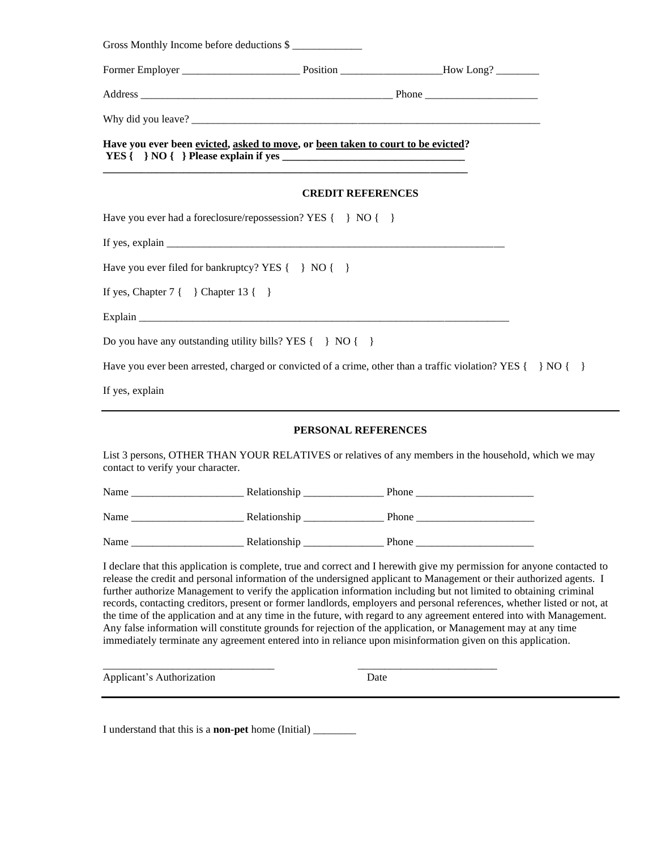| Gross Monthly Income before deductions \$                                                                                                                                                                                                                                                                                                                                                            |                          |  |
|------------------------------------------------------------------------------------------------------------------------------------------------------------------------------------------------------------------------------------------------------------------------------------------------------------------------------------------------------------------------------------------------------|--------------------------|--|
|                                                                                                                                                                                                                                                                                                                                                                                                      |                          |  |
|                                                                                                                                                                                                                                                                                                                                                                                                      |                          |  |
|                                                                                                                                                                                                                                                                                                                                                                                                      |                          |  |
| Have you ever been evicted, asked to move, or been taken to court to be evicted?                                                                                                                                                                                                                                                                                                                     |                          |  |
|                                                                                                                                                                                                                                                                                                                                                                                                      | <b>CREDIT REFERENCES</b> |  |
| Have you ever had a foreclosure/repossession? YES { } NO { }                                                                                                                                                                                                                                                                                                                                         |                          |  |
| If yes, explain $\frac{1}{\sqrt{1-\frac{1}{2}}\sqrt{1-\frac{1}{2}}\sqrt{1-\frac{1}{2}}\sqrt{1-\frac{1}{2}}\sqrt{1-\frac{1}{2}}\sqrt{1-\frac{1}{2}}\sqrt{1-\frac{1}{2}}\sqrt{1-\frac{1}{2}}\sqrt{1-\frac{1}{2}}\sqrt{1-\frac{1}{2}}\sqrt{1-\frac{1}{2}}\sqrt{1-\frac{1}{2}}\sqrt{1-\frac{1}{2}}\sqrt{1-\frac{1}{2}}\sqrt{1-\frac{1}{2}}\sqrt{1-\frac{1}{2}}\sqrt{1-\frac{1}{2}}\sqrt{1-\frac{1}{2}}\$ |                          |  |
| Have you ever filed for bankruptcy? YES { } NO { }                                                                                                                                                                                                                                                                                                                                                   |                          |  |
| If yes, Chapter $7 \{ \}$ Chapter $13 \{ \}$                                                                                                                                                                                                                                                                                                                                                         |                          |  |
|                                                                                                                                                                                                                                                                                                                                                                                                      |                          |  |
| Do you have any outstanding utility bills? YES $\{\}$ NO $\{\}$                                                                                                                                                                                                                                                                                                                                      |                          |  |
| Have you ever been arrested, charged or convicted of a crime, other than a traffic violation? YES $\{\}\$ NO $\{\}$                                                                                                                                                                                                                                                                                  |                          |  |
| If yes, explain                                                                                                                                                                                                                                                                                                                                                                                      |                          |  |

#### **PERSONAL REFERENCES**

List 3 persons, OTHER THAN YOUR RELATIVES or relatives of any members in the household, which we may contact to verify your character.

| Name | Relationship | Phone |
|------|--------------|-------|
| Name | Relationship | Phone |
| Name | Relationship | Phone |

\_\_\_\_\_\_\_\_\_\_\_\_\_\_\_\_\_\_\_\_\_\_\_\_\_\_\_\_\_\_\_\_ \_\_\_\_\_\_\_\_\_\_\_\_\_\_\_\_\_\_\_\_\_\_\_\_\_\_

I declare that this application is complete, true and correct and I herewith give my permission for anyone contacted to release the credit and personal information of the undersigned applicant to Management or their authorized agents. I further authorize Management to verify the application information including but not limited to obtaining criminal records, contacting creditors, present or former landlords, employers and personal references, whether listed or not, at the time of the application and at any time in the future, with regard to any agreement entered into with Management. Any false information will constitute grounds for rejection of the application, or Management may at any time immediately terminate any agreement entered into in reliance upon misinformation given on this application.

Applicant's Authorization Date

I understand that this is a **non-pet** home (Initial) \_\_\_\_\_\_\_\_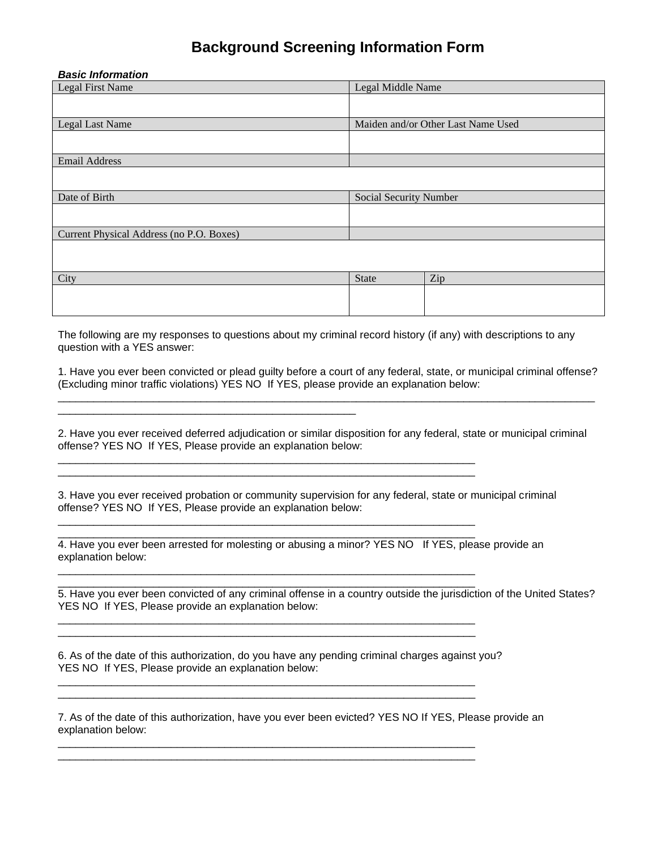### **Background Screening Information Form**

#### *Basic Information*

| Legal First Name                         | Legal Middle Name      |                                    |
|------------------------------------------|------------------------|------------------------------------|
|                                          |                        |                                    |
|                                          |                        |                                    |
| Legal Last Name                          |                        | Maiden and/or Other Last Name Used |
|                                          |                        |                                    |
| <b>Email Address</b>                     |                        |                                    |
|                                          |                        |                                    |
| Date of Birth                            | Social Security Number |                                    |
|                                          |                        |                                    |
| Current Physical Address (no P.O. Boxes) |                        |                                    |
|                                          |                        |                                    |
|                                          |                        |                                    |
| City                                     | <b>State</b>           | Zip                                |
|                                          |                        |                                    |
|                                          |                        |                                    |

The following are my responses to questions about my criminal record history (if any) with descriptions to any question with a YES answer:

1. Have you ever been convicted or plead guilty before a court of any federal, state, or municipal criminal offense? (Excluding minor traffic violations) YES NO If YES, please provide an explanation below: \_\_\_\_\_\_\_\_\_\_\_\_\_\_\_\_\_\_\_\_\_\_\_\_\_\_\_\_\_\_\_\_\_\_\_\_\_\_\_\_\_\_\_\_\_\_\_\_\_\_\_\_\_\_\_\_\_\_\_\_\_\_\_\_\_\_\_\_\_\_\_\_\_\_\_\_\_\_\_\_\_\_\_\_\_\_\_\_\_\_

2. Have you ever received deferred adjudication or similar disposition for any federal, state or municipal criminal offense? YES NO If YES, Please provide an explanation below:

3. Have you ever received probation or community supervision for any federal, state or municipal criminal offense? YES NO If YES, Please provide an explanation below:

\_\_\_\_\_\_\_\_\_\_\_\_\_\_\_\_\_\_\_\_\_\_\_\_\_\_\_\_\_\_\_\_\_\_\_\_\_\_\_\_\_\_\_\_\_\_\_\_\_\_\_\_\_\_\_\_\_\_\_\_\_\_\_\_\_\_\_\_\_\_ \_\_\_\_\_\_\_\_\_\_\_\_\_\_\_\_\_\_\_\_\_\_\_\_\_\_\_\_\_\_\_\_\_\_\_\_\_\_\_\_\_\_\_\_\_\_\_\_\_\_\_\_\_\_\_\_\_\_\_\_\_\_\_\_\_\_\_\_\_\_

\_\_\_\_\_\_\_\_\_\_\_\_\_\_\_\_\_\_\_\_\_\_\_\_\_\_\_\_\_\_\_\_\_\_\_\_\_\_\_\_\_\_\_\_\_\_\_\_\_\_\_\_\_\_\_\_\_\_\_\_\_\_\_\_\_\_\_\_\_\_ \_\_\_\_\_\_\_\_\_\_\_\_\_\_\_\_\_\_\_\_\_\_\_\_\_\_\_\_\_\_\_\_\_\_\_\_\_\_\_\_\_\_\_\_\_\_\_\_\_\_\_\_\_\_\_\_\_\_\_\_\_\_\_\_\_\_\_\_\_\_

\_\_\_\_\_\_\_\_\_\_\_\_\_\_\_\_\_\_\_\_\_\_\_\_\_\_\_\_\_\_\_\_\_\_\_\_\_\_\_\_\_\_\_\_\_\_\_\_\_\_\_\_\_\_\_\_\_\_\_\_\_\_\_\_\_\_\_\_\_\_ \_\_\_\_\_\_\_\_\_\_\_\_\_\_\_\_\_\_\_\_\_\_\_\_\_\_\_\_\_\_\_\_\_\_\_\_\_\_\_\_\_\_\_\_\_\_\_\_\_\_\_\_\_\_\_\_\_\_\_\_\_\_\_\_\_\_\_\_\_\_

4. Have you ever been arrested for molesting or abusing a minor? YES NO If YES, please provide an explanation below:

\_\_\_\_\_\_\_\_\_\_\_\_\_\_\_\_\_\_\_\_\_\_\_\_\_\_\_\_\_\_\_\_\_\_\_\_\_\_\_\_\_\_\_\_\_\_\_\_\_\_\_\_\_\_\_\_\_\_\_\_\_\_\_\_\_\_\_\_\_\_

5. Have you ever been convicted of any criminal offense in a country outside the jurisdiction of the United States? YES NO If YES, Please provide an explanation below: \_\_\_\_\_\_\_\_\_\_\_\_\_\_\_\_\_\_\_\_\_\_\_\_\_\_\_\_\_\_\_\_\_\_\_\_\_\_\_\_\_\_\_\_\_\_\_\_\_\_\_\_\_\_\_\_\_\_\_\_\_\_\_\_\_\_\_\_\_\_

\_\_\_\_\_\_\_\_\_\_\_\_\_\_\_\_\_\_\_\_\_\_\_\_\_\_\_\_\_\_\_\_\_\_\_\_\_\_\_\_\_\_\_\_\_\_\_\_\_\_\_\_\_\_\_\_\_\_\_\_\_\_\_\_\_\_\_\_\_\_

6. As of the date of this authorization, do you have any pending criminal charges against you? YES NO If YES, Please provide an explanation below:

\_\_\_\_\_\_\_\_\_\_\_\_\_\_\_\_\_\_\_\_\_\_\_\_\_\_\_\_\_\_\_\_\_\_\_\_\_\_\_\_\_\_\_\_\_\_\_\_\_\_\_\_\_\_\_\_\_\_\_\_\_\_\_\_\_\_\_\_\_\_

\_\_\_\_\_\_\_\_\_\_\_\_\_\_\_\_\_\_\_\_\_\_\_\_\_\_\_\_\_\_\_\_\_\_\_\_\_\_\_\_\_\_\_\_\_\_\_\_\_\_\_\_\_\_\_\_\_\_\_\_\_\_\_\_\_\_\_\_\_\_ \_\_\_\_\_\_\_\_\_\_\_\_\_\_\_\_\_\_\_\_\_\_\_\_\_\_\_\_\_\_\_\_\_\_\_\_\_\_\_\_\_\_\_\_\_\_\_\_\_\_\_\_\_\_\_\_\_\_\_\_\_\_\_\_\_\_\_\_\_\_

7. As of the date of this authorization, have you ever been evicted? YES NO If YES, Please provide an explanation below: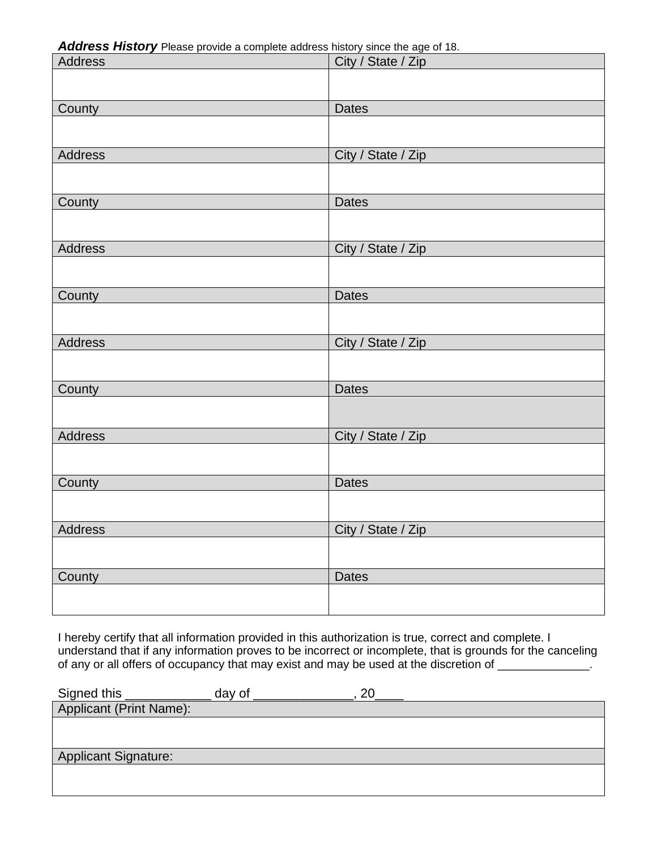*Address History* Please provide a complete address history since the age of 18.

| Address        | City / State / Zip |
|----------------|--------------------|
|                |                    |
| County         | <b>Dates</b>       |
|                |                    |
| Address        | City / State / Zip |
|                |                    |
| County         | <b>Dates</b>       |
|                |                    |
| <b>Address</b> | City / State / Zip |
|                |                    |
| County         | <b>Dates</b>       |
| Address        |                    |
|                | City / State / Zip |
| County         | <b>Dates</b>       |
|                |                    |
| Address        | City / State / Zip |
|                |                    |
| County         | <b>Dates</b>       |
|                |                    |
| Address        | City / State / Zip |
|                |                    |
| County         | <b>Dates</b>       |
|                |                    |

I hereby certify that all information provided in this authorization is true, correct and complete. I understand that if any information proves to be incorrect or incomplete, that is grounds for the canceling of any or all offers of occupancy that may exist and may be used at the discretion of \_\_\_\_\_\_\_\_\_\_\_\_\_.

| Signed this             | day of | or |
|-------------------------|--------|----|
| Applicant (Print Name): |        |    |
|                         |        |    |
|                         |        |    |
| Applicant Signature:    |        |    |
|                         |        |    |
|                         |        |    |